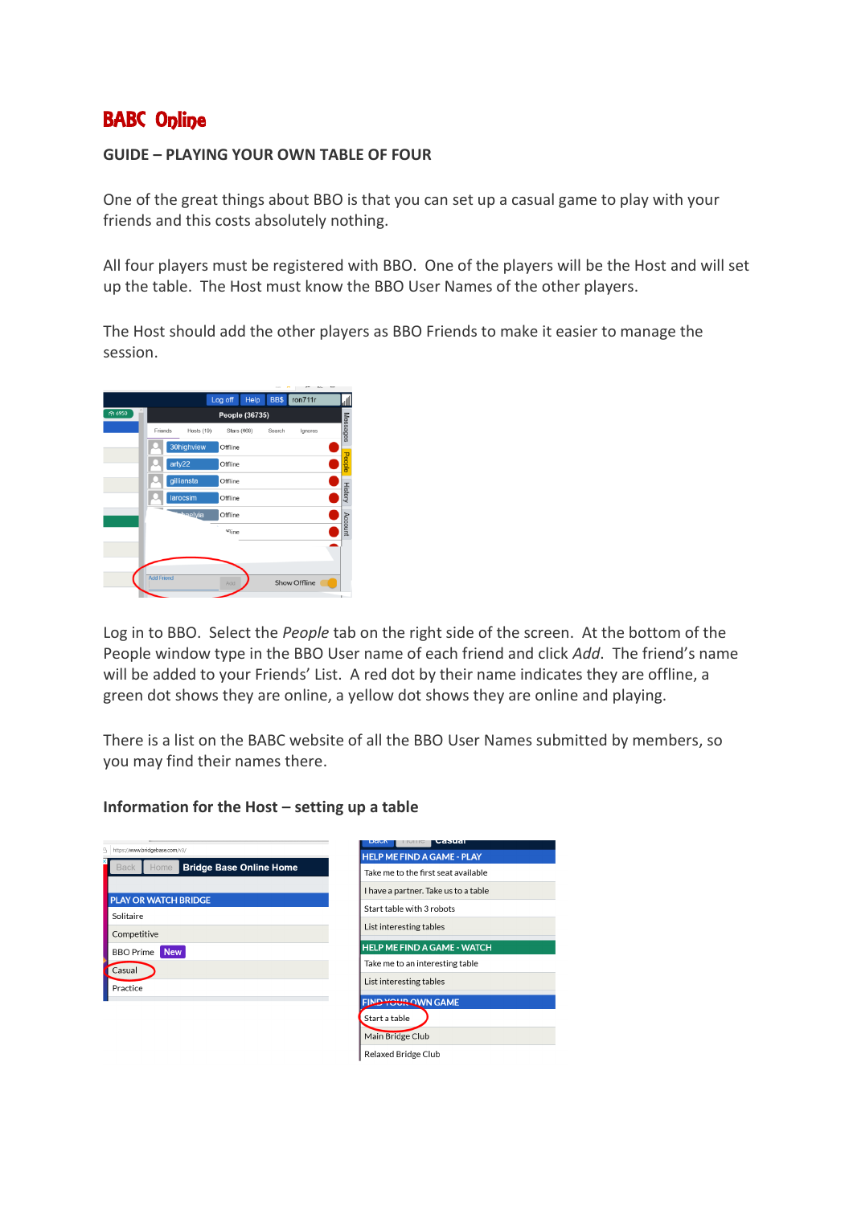# BABC Online

#### **GUIDE – PLAYING YOUR OWN TABLE OF FOUR**

One of the great things about BBO is that you can set up a casual game to play with your friends and this costs absolutely nothing.

All four players must be registered with BBO. One of the players will be the Host and will set up the table. The Host must know the BBO User Names of the other players.

The Host should add the other players as BBO Friends to make it easier to manage the session.

|                |                   |            | Log off           | Help               | BB\$   | ron711r      |                |
|----------------|-------------------|------------|-------------------|--------------------|--------|--------------|----------------|
| <b>PT 6950</b> | People (36735)    |            |                   |                    |        |              |                |
|                | Friends           | Hosts (19) |                   | <b>Stars (469)</b> | Search | Ignores      | Messages       |
|                |                   | 30highview | Offline           |                    |        |              |                |
|                |                   | arty22     | Offline           |                    |        |              | People         |
|                |                   | gilliansta | Offline           |                    |        |              |                |
|                |                   | larocsim   | Offline           |                    |        |              | <b>History</b> |
|                |                   | haelyia    | Offline           |                    |        |              |                |
|                |                   |            | eq <sub>ine</sub> |                    |        |              | Account        |
|                |                   |            |                   |                    |        |              |                |
|                |                   |            |                   |                    |        |              |                |
|                | <b>Add Friend</b> |            | Add               |                    |        | Show Offline |                |

Log in to BBO. Select the *People* tab on the right side of the screen. At the bottom of the People window type in the BBO User name of each friend and click *Add*. The friend's name will be added to your Friends' List. A red dot by their name indicates they are offline, a green dot shows they are online, a yellow dot shows they are online and playing.

There is a list on the BABC website of all the BBO User Names submitted by members, so you may find their names there.

#### **Information for the Host – setting up a table**

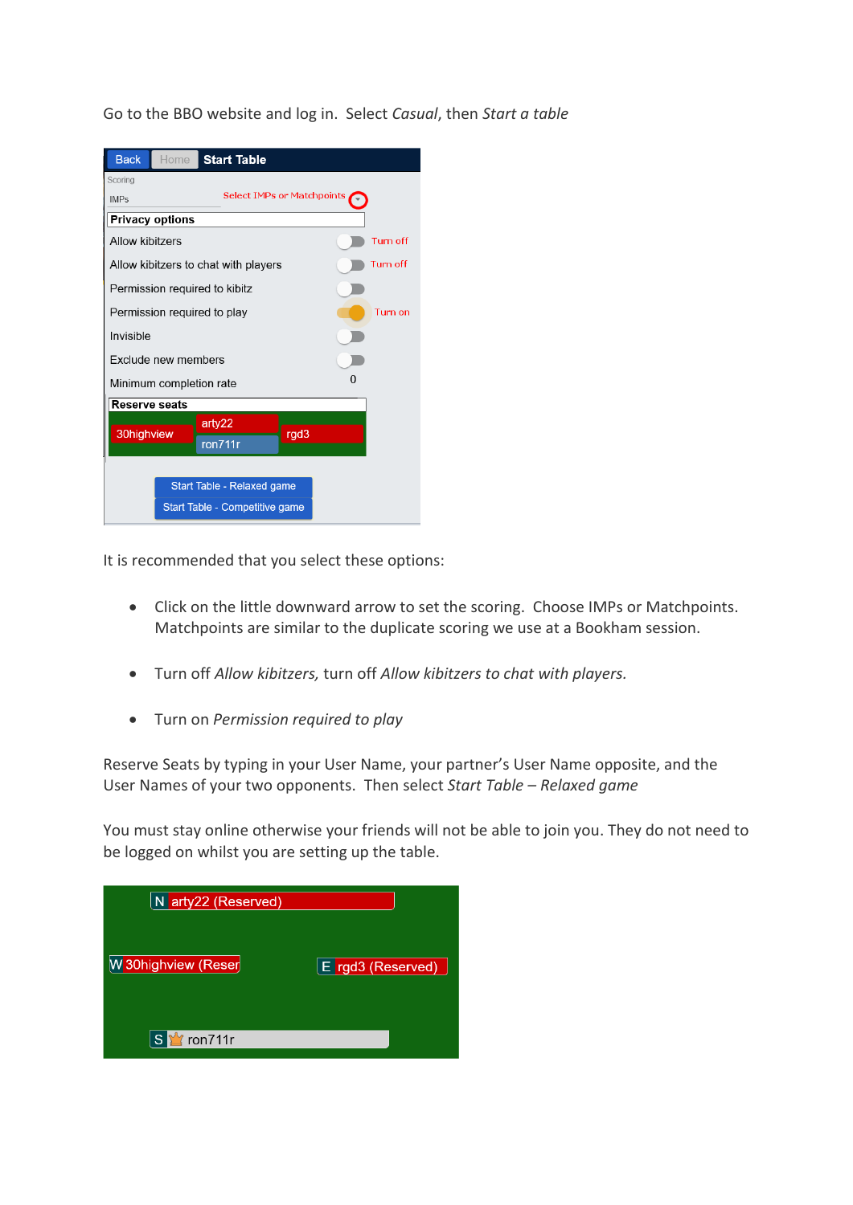Go to the BBO website and log in. Select *Casual*, then *Start a table*

| <b>Back</b><br>Home<br><b>Start Table</b>                    |                 |  |  |  |  |  |
|--------------------------------------------------------------|-----------------|--|--|--|--|--|
| Scoring<br><b>Select IMPs or Matchpoints</b><br><b>IMPs</b>  |                 |  |  |  |  |  |
| <b>Privacy options</b>                                       |                 |  |  |  |  |  |
| Allow kibitzers                                              | <b>Turn off</b> |  |  |  |  |  |
| Allow kibitzers to chat with players                         | Turn off        |  |  |  |  |  |
| Permission required to kibitz                                |                 |  |  |  |  |  |
| Permission required to play                                  | Turn on         |  |  |  |  |  |
| Invisible                                                    |                 |  |  |  |  |  |
| Exclude new members                                          |                 |  |  |  |  |  |
| O<br>Minimum completion rate                                 |                 |  |  |  |  |  |
| <b>Reserve seats</b>                                         |                 |  |  |  |  |  |
| arty22<br>30highview<br>rgd3<br>ron711r                      |                 |  |  |  |  |  |
| Start Table - Relaxed game<br>Start Table - Competitive game |                 |  |  |  |  |  |

It is recommended that you select these options:

- Click on the little downward arrow to set the scoring. Choose IMPs or Matchpoints. Matchpoints are similar to the duplicate scoring we use at a Bookham session.
- Turn off *Allow kibitzers,* turn off *Allow kibitzers to chat with players.*
- Turn on *Permission required to play*

Reserve Seats by typing in your User Name, your partner's User Name opposite, and the User Names of your two opponents. Then select *Start Table – Relaxed game*

You must stay online otherwise your friends will not be able to join you. They do not need to be logged on whilst you are setting up the table.

| N arty22 (Reserved)              |                                |
|----------------------------------|--------------------------------|
| W 30highview (Reser              | $E$ <sub>rgd3</sub> (Reserved) |
| $^{\prime\prime}$ ron711r<br>l S |                                |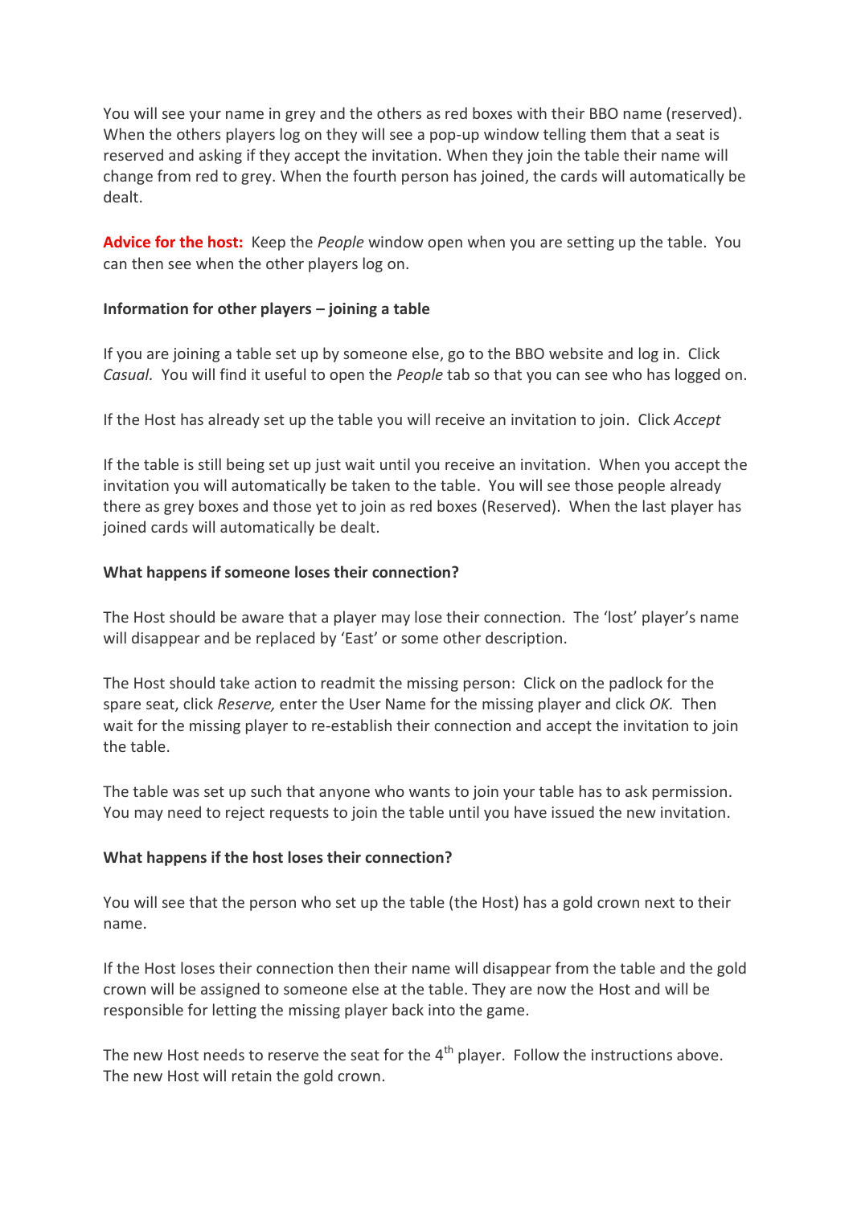You will see your name in grey and the others as red boxes with their BBO name (reserved). When the others players log on they will see a pop-up window telling them that a seat is reserved and asking if they accept the invitation. When they join the table their name will change from red to grey. When the fourth person has joined, the cards will automatically be dealt.

**Advice for the host:** Keep the *People* window open when you are setting up the table. You can then see when the other players log on.

# **Information for other players – joining a table**

If you are joining a table set up by someone else, go to the BBO website and log in. Click *Casual.* You will find it useful to open the *People* tab so that you can see who has logged on.

If the Host has already set up the table you will receive an invitation to join. Click *Accept*

If the table is still being set up just wait until you receive an invitation. When you accept the invitation you will automatically be taken to the table. You will see those people already there as grey boxes and those yet to join as red boxes (Reserved). When the last player has joined cards will automatically be dealt.

# **What happens if someone loses their connection?**

The Host should be aware that a player may lose their connection. The 'lost' player's name will disappear and be replaced by 'East' or some other description.

The Host should take action to readmit the missing person: Click on the padlock for the spare seat, click *Reserve,* enter the User Name for the missing player and click *OK.* Then wait for the missing player to re-establish their connection and accept the invitation to join the table.

The table was set up such that anyone who wants to join your table has to ask permission. You may need to reject requests to join the table until you have issued the new invitation.

#### **What happens if the host loses their connection?**

You will see that the person who set up the table (the Host) has a gold crown next to their name.

If the Host loses their connection then their name will disappear from the table and the gold crown will be assigned to someone else at the table. They are now the Host and will be responsible for letting the missing player back into the game.

The new Host needs to reserve the seat for the 4<sup>th</sup> player. Follow the instructions above. The new Host will retain the gold crown.